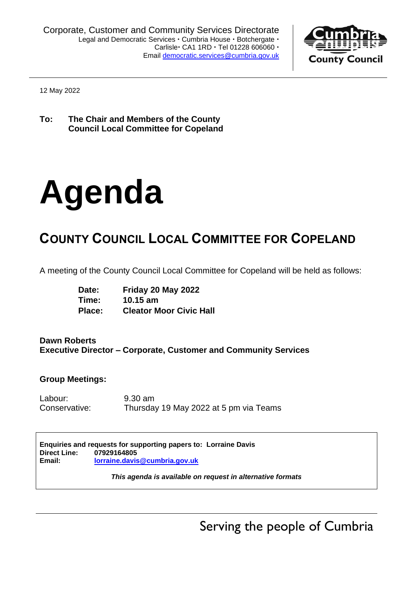

12 May 2022

**To: The Chair and Members of the County Council Local Committee for Copeland**

# **Agenda**

## **COUNTY COUNCIL LOCAL COMMITTEE FOR COPELAND**

A meeting of the County Council Local Committee for Copeland will be held as follows:

| Date:  | Friday 20 May 2022             |
|--------|--------------------------------|
| Time:  | $10.15$ am                     |
| Place: | <b>Cleator Moor Civic Hall</b> |

#### **Dawn Roberts Executive Director – Corporate, Customer and Community Services**

#### **Group Meetings:**

Labour: 9.30 am Conservative: Thursday 19 May 2022 at 5 pm via Teams

|              | Enquiries and requests for supporting papers to: Lorraine Davis |  |
|--------------|-----------------------------------------------------------------|--|
| Direct Line: | 07929164805                                                     |  |
| Email:       | lorraine.davis@cumbria.gov.uk                                   |  |

*This agenda is available on request in alternative formats*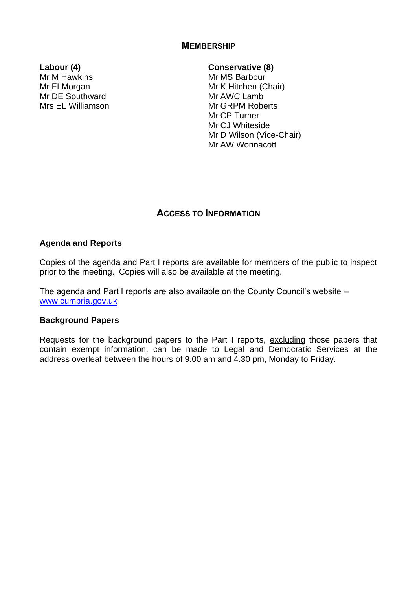#### **MEMBERSHIP**

Mr M Hawkins Mr FI Morgan Mr DE Southward Mrs EL Williamson

#### **Labour (4) Conservative (8)**

Mr MS Barbour Mr K Hitchen (Chair) Mr AWC Lamb Mr GRPM Roberts Mr CP Turner Mr CJ Whiteside Mr D Wilson (Vice-Chair) Mr AW Wonnacott

#### **ACCESS TO INFORMATION**

#### **Agenda and Reports**

Copies of the agenda and Part I reports are available for members of the public to inspect prior to the meeting. Copies will also be available at the meeting.

The agenda and Part I reports are also available on the County Council's website – [www.cumbria.gov.uk](http://www.cumbria.gov.uk/)

#### **Background Papers**

Requests for the background papers to the Part I reports, excluding those papers that contain exempt information, can be made to Legal and Democratic Services at the address overleaf between the hours of 9.00 am and 4.30 pm, Monday to Friday.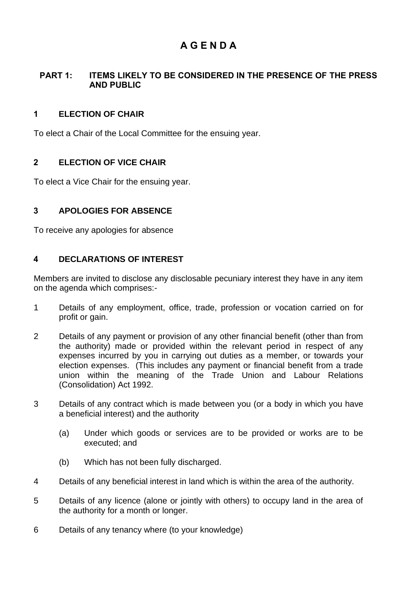### **A G E N D A**

#### **PART 1: ITEMS LIKELY TO BE CONSIDERED IN THE PRESENCE OF THE PRESS AND PUBLIC**

#### **1 ELECTION OF CHAIR**

To elect a Chair of the Local Committee for the ensuing year.

#### **2 ELECTION OF VICE CHAIR**

To elect a Vice Chair for the ensuing year.

#### **3 APOLOGIES FOR ABSENCE**

To receive any apologies for absence

#### **4 DECLARATIONS OF INTEREST**

Members are invited to disclose any disclosable pecuniary interest they have in any item on the agenda which comprises:-

- 1 Details of any employment, office, trade, profession or vocation carried on for profit or gain.
- 2 Details of any payment or provision of any other financial benefit (other than from the authority) made or provided within the relevant period in respect of any expenses incurred by you in carrying out duties as a member, or towards your election expenses. (This includes any payment or financial benefit from a trade union within the meaning of the Trade Union and Labour Relations (Consolidation) Act 1992.
- 3 Details of any contract which is made between you (or a body in which you have a beneficial interest) and the authority
	- (a) Under which goods or services are to be provided or works are to be executed; and
	- (b) Which has not been fully discharged.
- 4 Details of any beneficial interest in land which is within the area of the authority.
- 5 Details of any licence (alone or jointly with others) to occupy land in the area of the authority for a month or longer.
- 6 Details of any tenancy where (to your knowledge)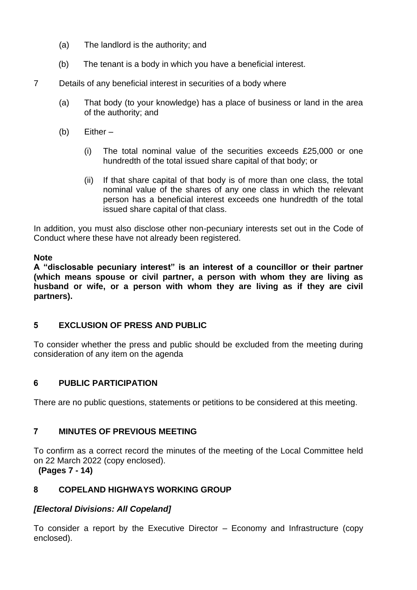- (a) The landlord is the authority; and
- (b) The tenant is a body in which you have a beneficial interest.
- 7 Details of any beneficial interest in securities of a body where
	- (a) That body (to your knowledge) has a place of business or land in the area of the authority; and
	- $(b)$  Either
		- (i) The total nominal value of the securities exceeds £25,000 or one hundredth of the total issued share capital of that body; or
		- (ii) If that share capital of that body is of more than one class, the total nominal value of the shares of any one class in which the relevant person has a beneficial interest exceeds one hundredth of the total issued share capital of that class.

In addition, you must also disclose other non-pecuniary interests set out in the Code of Conduct where these have not already been registered.

#### **Note**

**A "disclosable pecuniary interest" is an interest of a councillor or their partner (which means spouse or civil partner, a person with whom they are living as husband or wife, or a person with whom they are living as if they are civil partners).**

#### **5 EXCLUSION OF PRESS AND PUBLIC**

To consider whether the press and public should be excluded from the meeting during consideration of any item on the agenda

#### **6 PUBLIC PARTICIPATION**

There are no public questions, statements or petitions to be considered at this meeting.

#### **7 MINUTES OF PREVIOUS MEETING**

To confirm as a correct record the minutes of the meeting of the Local Committee held on 22 March 2022 (copy enclosed).

**(Pages 7 - 14)**

#### **8 COPELAND HIGHWAYS WORKING GROUP**

#### *[Electoral Divisions: All Copeland]*

To consider a report by the Executive Director – Economy and Infrastructure (copy enclosed).